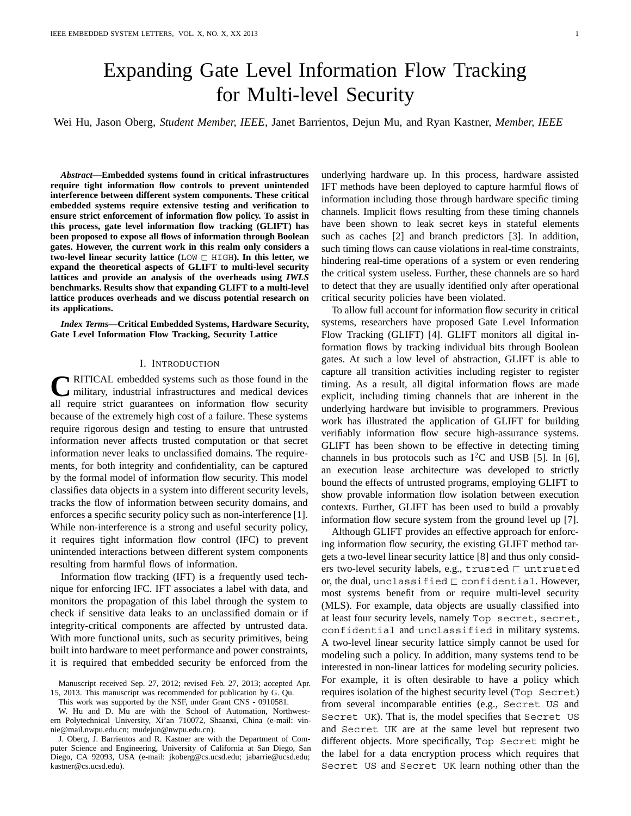# Expanding Gate Level Information Flow Tracking for Multi-level Security

Wei Hu, Jason Oberg, *Student Member, IEEE*, Janet Barrientos, Dejun Mu, and Ryan Kastner, *Member, IEEE*

*Abstract***—Embedded systems found in critical infrastructures require tight information flow controls to prevent unintended interference between different system components. These critical embedded systems require extensive testing and verification to ensure strict enforcement of information flow policy. To assist in this process, gate level information flow tracking (GLIFT) has been proposed to expose all flows of information through Boolean gates. However, the current work in this realm only considers a two-level linear security lattice (**LOW - HIGH**). In this letter, we expand the theoretical aspects of GLIFT to multi-level security lattices and provide an analysis of the overheads using** *IWLS* **benchmarks. Results show that expanding GLIFT to a multi-level lattice produces overheads and we discuss potential research on its applications.**

*Index Terms***—Critical Embedded Systems, Hardware Security, Gate Level Information Flow Tracking, Security Lattice**

## I. INTRODUCTION

**C**RITICAL embedded systems such as those found in the military, industrial infrastructures and medical devices all require strict guarantees on information flow security because of the extremely high cost of a failure. These systems require rigorous design and testing to ensure that untrusted information never affects trusted computation or that secret information never leaks to unclassified domains. The requirements, for both integrity and confidentiality, can be captured by the formal model of information flow security. This model classifies data objects in a system into different security levels, tracks the flow of information between security domains, and enforces a specific security policy such as non-interference [1]. While non-interference is a strong and useful security policy, it requires tight information flow control (IFC) to prevent unintended interactions between different system components resulting from harmful flows of information.

Information flow tracking (IFT) is a frequently used technique for enforcing IFC. IFT associates a label with data, and monitors the propagation of this label through the system to check if sensitive data leaks to an unclassified domain or if integrity-critical components are affected by untrusted data. With more functional units, such as security primitives, being built into hardware to meet performance and power constraints, it is required that embedded security be enforced from the

Manuscript received Sep. 27, 2012; revised Feb. 27, 2013; accepted Apr. 15, 2013. This manuscript was recommended for publication by G. Qu.

This work was supported by the NSF, under Grant CNS - 0910581.

W. Hu and D. Mu are with the School of Automation, Northwestern Polytechnical University, Xi'an 710072, Shaanxi, China (e-mail: vinnie@mail.nwpu.edu.cn; mudejun@nwpu.edu.cn).

J. Oberg, J. Barrientos and R. Kastner are with the Department of Computer Science and Engineering, University of California at San Diego, San Diego, CA 92093, USA (e-mail: jkoberg@cs.ucsd.edu; jabarrie@ucsd.edu; kastner@cs.ucsd.edu).

underlying hardware up. In this process, hardware assisted IFT methods have been deployed to capture harmful flows of information including those through hardware specific timing channels. Implicit flows resulting from these timing channels have been shown to leak secret keys in stateful elements such as caches [2] and branch predictors [3]. In addition, such timing flows can cause violations in real-time constraints, hindering real-time operations of a system or even rendering the critical system useless. Further, these channels are so hard to detect that they are usually identified only after operational critical security policies have been violated.

To allow full account for information flow security in critical systems, researchers have proposed Gate Level Information Flow Tracking (GLIFT) [4]. GLIFT monitors all digital information flows by tracking individual bits through Boolean gates. At such a low level of abstraction, GLIFT is able to capture all transition activities including register to register timing. As a result, all digital information flows are made explicit, including timing channels that are inherent in the underlying hardware but invisible to programmers. Previous work has illustrated the application of GLIFT for building verifiably information flow secure high-assurance systems. GLIFT has been shown to be effective in detecting timing channels in bus protocols such as  $I^2C$  and USB [5]. In [6], an execution lease architecture was developed to strictly bound the effects of untrusted programs, employing GLIFT to show provable information flow isolation between execution contexts. Further, GLIFT has been used to build a provably information flow secure system from the ground level up [7].

Although GLIFT provides an effective approach for enforcing information flow security, the existing GLIFT method targets a two-level linear security lattice [8] and thus only considers two-level security labels, e.g.,  $\tt{trusted} \sqsubset$   $\tt{untrusted}$ or, the dual,  $unclassified \sqsubset confidence$  confidential. However, most systems benefit from or require multi-level security (MLS). For example, data objects are usually classified into at least four security levels, namely Top secret, secret, confidential and unclassified in military systems. A two-level linear security lattice simply cannot be used for modeling such a policy. In addition, many systems tend to be interested in non-linear lattices for modeling security policies. For example, it is often desirable to have a policy which requires isolation of the highest security level (Top Secret) from several incomparable entities (e.g., Secret US and Secret UK). That is, the model specifies that Secret US and Secret UK are at the same level but represent two different objects. More specifically, Top Secret might be the label for a data encryption process which requires that Secret US and Secret UK learn nothing other than the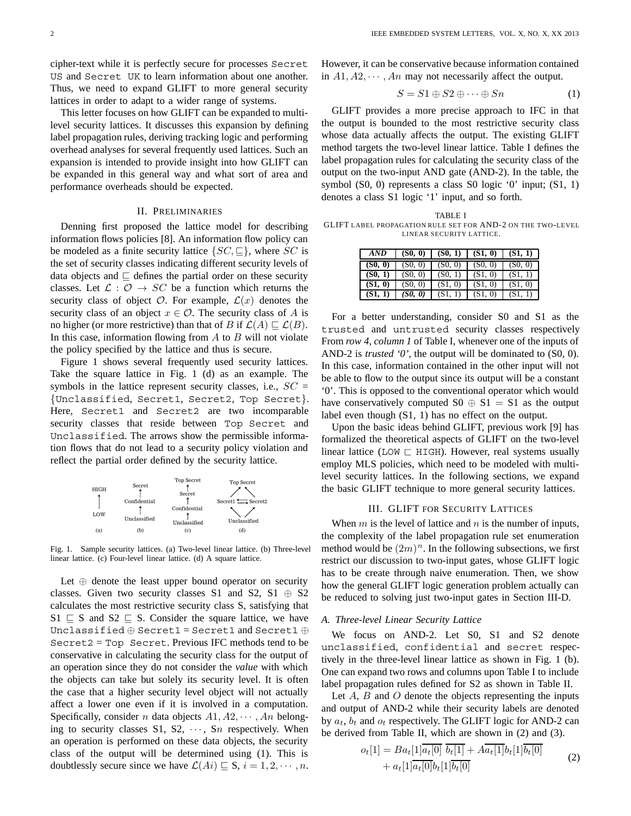cipher-text while it is perfectly secure for processes Secret US and Secret UK to learn information about one another. Thus, we need to expand GLIFT to more general security lattices in order to adapt to a wider range of systems.

This letter focuses on how GLIFT can be expanded to multilevel security lattices. It discusses this expansion by defining label propagation rules, deriving tracking logic and performing overhead analyses for several frequently used lattices. Such an expansion is intended to provide insight into how GLIFT can be expanded in this general way and what sort of area and performance overheads should be expected.

## II. PRELIMINARIES

Denning first proposed the lattice model for describing information flows policies [8]. An information flow policy can be modeled as a finite security lattice  $\{SC, \sqsubseteq\}$ , where *SC* is the set of security classes indicating different security levels of data objects and  $\subseteq$  defines the partial order on these security classes. Let  $\mathcal{L}: \mathcal{O} \to SC$  be a function which returns the security class of object  $\mathcal{O}$ . For example,  $\mathcal{L}(x)$  denotes the security class of an object  $x \in \mathcal{O}$ . The security class of *A* is no higher (or more restrictive) than that of *B* if  $\mathcal{L}(A) \sqsubseteq \mathcal{L}(B)$ . In this case, information flowing from *A* to *B* will not violate the policy specified by the lattice and thus is secure.

Figure 1 shows several frequently used security lattices. Take the square lattice in Fig. 1 (d) as an example. The symbols in the lattice represent security classes, i.e.,  $SC =$ {Unclassified, Secret1, Secret2, Top Secret}. Here, Secret1 and Secret2 are two incomparable security classes that reside between Top Secret and Unclassified. The arrows show the permissible information flows that do not lead to a security policy violation and reflect the partial order defined by the security lattice.



Fig. 1. Sample security lattices. (a) Two-level linear lattice. (b) Three-level linear lattice. (c) Four-level linear lattice. (d) A square lattice.

Let  $\oplus$  denote the least upper bound operator on security classes. Given two security classes S1 and S2, S1  $\oplus$  S2 calculates the most restrictive security class S, satisfying that  $S1 \subseteq S$  and  $S2 \subseteq S$ . Consider the square lattice, we have Unclassified ⊕ Secret1 = Secret1 and Secret1 ⊕ Secret2 = Top Secret. Previous IFC methods tend to be conservative in calculating the security class for the output of an operation since they do not consider the *value* with which the objects can take but solely its security level. It is often the case that a higher security level object will not actually affect a lower one even if it is involved in a computation. Specifically, consider *n* data objects *A*1*, A*2*,* ··· *, An* belonging to security classes S1, S2, ··· , S*n* respectively. When an operation is performed on these data objects, the security class of the output will be determined using (1). This is doubtlessly secure since we have  $\mathcal{L}(Ai) \sqsubseteq S$ ,  $i = 1, 2, \dots, n$ .

However, it can be conservative because information contained in  $A1, A2, \cdots, An$  may not necessarily affect the output.

$$
S = S1 \oplus S2 \oplus \cdots \oplus Sn \tag{1}
$$

GLIFT provides a more precise approach to IFC in that the output is bounded to the most restrictive security class whose data actually affects the output. The existing GLIFT method targets the two-level linear lattice. Table I defines the label propagation rules for calculating the security class of the output on the two-input AND gate (AND-2). In the table, the symbol  $(S0, 0)$  represents a class  $S0$  logic  $0'$  input;  $(S1, 1)$ denotes a class S1 logic '1' input, and so forth.

TABLE I GLIFT LABEL PROPAGATION RULE SET FOR AND-2 ON THE TWO-LEVEL LINEAR SECURITY LATTICE.

| AND     | (S0, 0) | (S0, 1) | (S1, 0) | (S1, 1) |
|---------|---------|---------|---------|---------|
| (S0, 0) | (S0, 0) | (S0, 0) | (S0, 0) | (S0, 0) |
| (S0, 1) | (S0, 0) | (S0, 1) | (S1, 0) | (S1     |
| (S1, 0) | (S0, 0) | (S1, 0) | (S1, 0) | (S1, 0) |
| (S1.    | (S0, 0) | (S1.    | (S1,    | (S1     |

For a better understanding, consider S0 and S1 as the trusted and untrusted security classes respectively From *row 4*, *column 1* of Table I, whenever one of the inputs of AND-2 is *trusted '0'*, the output will be dominated to (S0, 0). In this case, information contained in the other input will not be able to flow to the output since its output will be a constant '0'. This is opposed to the conventional operator which would have conservatively computed  $S0 \oplus S1 = S1$  as the output label even though (S1, 1) has no effect on the output.

Upon the basic ideas behind GLIFT, previous work [9] has formalized the theoretical aspects of GLIFT on the two-level linear lattice (LOW  $\sqsubset$  HIGH). However, real systems usually employ MLS policies, which need to be modeled with multilevel security lattices. In the following sections, we expand the basic GLIFT technique to more general security lattices.

# III. GLIFT FOR SECURITY LATTICES

When *m* is the level of lattice and *n* is the number of inputs, the complexity of the label propagation rule set enumeration method would be  $(2m)^n$ . In the following subsections, we first restrict our discussion to two-input gates, whose GLIFT logic has to be create through naive enumeration. Then, we show how the general GLIFT logic generation problem actually can be reduced to solving just two-input gates in Section III-D.

#### *A. Three-level Linear Security Lattice*

We focus on AND-2. Let S0, S1 and S2 denote unclassified, confidential and secret respectively in the three-level linear lattice as shown in Fig. 1 (b). One can expand two rows and columns upon Table I to include label propagation rules defined for S2 as shown in Table II.

Let *A*, *B* and *O* denote the objects representing the inputs and output of AND-2 while their security labels are denoted by  $a_t$ ,  $b_t$  and  $o_t$  respectively. The GLIFT logic for AND-2 can be derived from Table II, which are shown in (2) and (3).

$$
o_t[1] = Ba_t[1]a_t[0] b_t[1] + Aa_t[1]b_t[1]b_t[0]
$$
  
+ 
$$
a_t[1]\overline{a_t[0]}b_t[1]\overline{b_t[0]}
$$
 (2)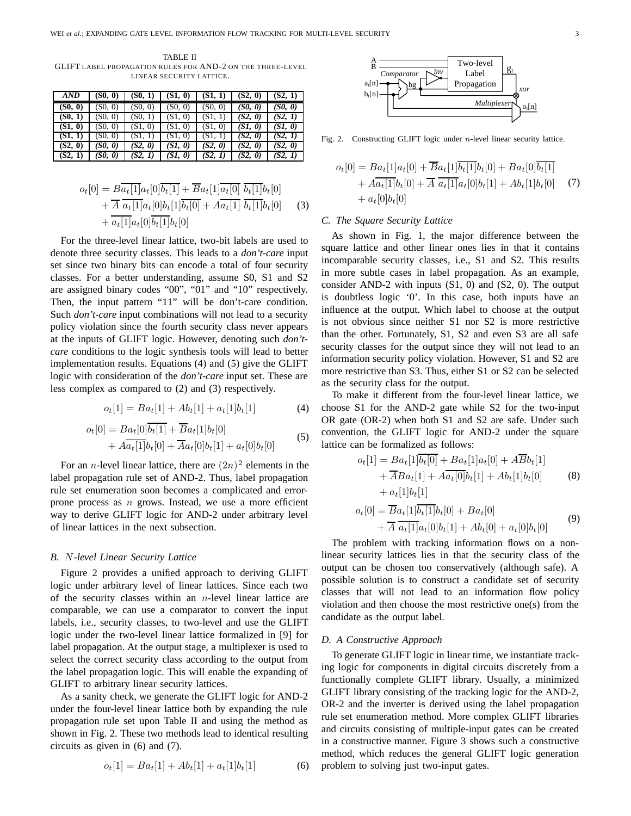TABLE II GLIFT LABEL PROPAGATION RULES FOR AND-2 ON THE THREE-LEVEL LINEAR SECURITY LATTICE.

| AND     | (S0, 0) | (S0, 1) | (S1, 0) | (S1, 1) | (S2, 0) | (S2, 1) |
|---------|---------|---------|---------|---------|---------|---------|
| (S0, 0) | (S0, 0) | (S0, 0) | (S0, 0) | (S0, 0) | (S0, 0) | (SO, O) |
| (S0, 1) | (S0, 0) | (S0, 1) | (S1, 0) | (S1,    | (S2, 0) | (S2, 1) |
| (S1, 0) | (S0, 0) | (S1, 0) | (S1, 0) | (S1, 0) | (SI, 0) | (SI, 0) |
| (S1, 1) | (S0, 0) | (S1, 1) | (S1, 0) | (S1, 1) | (S2, 0) | (S2, 1) |
| (S2, 0) | (S0, 0) | (S2, 0) | (SI, 0) | (S2, 0) | (S2, 0) | (S2, 0) |
| (S2, 1) | (S0, 0) | (S2, 1) | (SI, 0) | (S2, 1) | (S2, 0) | (S2, 1) |

$$
o_t[0] = B\overline{a_t[1]}a_t[0]\overline{b_t[1]} + \overline{B}a_t[1]\overline{a_t[0]} \overline{b_t[1]}b_t[0] + \overline{A} \overline{a_t[1]}a_t[0]b_t[1]\overline{b_t[0]} + A\overline{a_t[1]} \overline{b_t[1]}b_t[0] + a_t[1]\overline{a_t[0]}b_t[0]
$$
(3)  
+ 
$$
\overline{a_t[1]}a_t[0]\overline{b_t[1]}b_t[0]
$$

For the three-level linear lattice, two-bit labels are used to denote three security classes. This leads to a *don't-care* input set since two binary bits can encode a total of four security classes. For a better understanding, assume S0, S1 and S2 are assigned binary codes "00", "01" and "10" respectively. Then, the input pattern "11" will be don't-care condition. Such *don't-care* input combinations will not lead to a security policy violation since the fourth security class never appears at the inputs of GLIFT logic. However, denoting such *don'tcare* conditions to the logic synthesis tools will lead to better implementation results. Equations (4) and (5) give the GLIFT logic with consideration of the *don't-care* input set. These are less complex as compared to (2) and (3) respectively.

$$
o_t[1] = Ba_t[1] + Ab_t[1] + a_t[1]b_t[1] \tag{4}
$$

$$
o_t[0] = Ba_t[0]b_t[1] + Ba_t[1]b_t[0] + Aa_t[1]b_t[0] + \overline{A}a_t[0]b_t[1] + a_t[0]b_t[0]
$$
(5)

For an *n*-level linear lattice, there are  $(2n)^2$  elements in the label propagation rule set of AND-2. Thus, label propagation rule set enumeration soon becomes a complicated and errorprone process as *n* grows. Instead, we use a more efficient way to derive GLIFT logic for AND-2 under arbitrary level of linear lattices in the next subsection.

## *B. N-level Linear Security Lattice*

Figure 2 provides a unified approach to deriving GLIFT logic under arbitrary level of linear lattices. Since each two of the security classes within an *n*-level linear lattice are comparable, we can use a comparator to convert the input labels, i.e., security classes, to two-level and use the GLIFT logic under the two-level linear lattice formalized in [9] for label propagation. At the output stage, a multiplexer is used to select the correct security class according to the output from the label propagation logic. This will enable the expanding of GLIFT to arbitrary linear security lattices.

As a sanity check, we generate the GLIFT logic for AND-2 under the four-level linear lattice both by expanding the rule propagation rule set upon Table II and using the method as shown in Fig. 2. These two methods lead to identical resulting circuits as given in (6) and (7).

$$
o_t[1] = Ba_t[1] + Ab_t[1] + a_t[1]b_t[1] \tag{6}
$$



Fig. 2. Constructing GLIFT logic under *n*-level linear security lattice.

$$
o_t[0] = Ba_t[1]a_t[0] + \overline{B}a_t[1]\overline{b_t[1]}b_t[0] + Ba_t[0]\overline{b_t[1]} + A\overline{a_t[1]}b_t[0] + \overline{A} \overline{a_t[1]}a_t[0]b_t[1] + Ab_t[1]b_t[0] \tag{7}
$$

$$
+ a_t[0]b_t[0]
$$

# *C. The Square Security Lattice*

As shown in Fig. 1, the major difference between the square lattice and other linear ones lies in that it contains incomparable security classes, i.e., S1 and S2. This results in more subtle cases in label propagation. As an example, consider AND-2 with inputs (S1, 0) and (S2, 0). The output is doubtless logic '0'. In this case, both inputs have an influence at the output. Which label to choose at the output is not obvious since neither S1 nor S2 is more restrictive than the other. Fortunately, S1, S2 and even S3 are all safe security classes for the output since they will not lead to an information security policy violation. However, S1 and S2 are more restrictive than S3. Thus, either S1 or S2 can be selected as the security class for the output.

To make it different from the four-level linear lattice, we choose S1 for the AND-2 gate while S2 for the two-input OR gate (OR-2) when both S1 and S2 are safe. Under such convention, the GLIFT logic for AND-2 under the square lattice can be formalized as follows:

$$
o_t[1] = Ba_t[1]\overline{b_t[0]} + Ba_t[1]a_t[0] + A\overline{B}b_t[1] + \overline{A}Ba_t[1] + A\overline{a_t[0]}b_t[1] + Ab_t[1]b_t[0] \qquad (8) + a_t[1]b_t[1] o_t[0] = \overline{B}a_t[1]\overline{b_t[1]}b_t[0] + Ba_t[0] + \overline{A} \overline{a_t[1]}a_t[0]b_t[1] + Ab_t[0] + a_t[0]b_t[0] \qquad (9)
$$

The problem with tracking information flows on a nonlinear security lattices lies in that the security class of the output can be chosen too conservatively (although safe). A possible solution is to construct a candidate set of security classes that will not lead to an information flow policy violation and then choose the most restrictive one(s) from the candidate as the output label.

# *D. A Constructive Approach*

To generate GLIFT logic in linear time, we instantiate tracking logic for components in digital circuits discretely from a functionally complete GLIFT library. Usually, a minimized GLIFT library consisting of the tracking logic for the AND-2, OR-2 and the inverter is derived using the label propagation rule set enumeration method. More complex GLIFT libraries and circuits consisting of multiple-input gates can be created in a constructive manner. Figure 3 shows such a constructive method, which reduces the general GLIFT logic generation problem to solving just two-input gates.